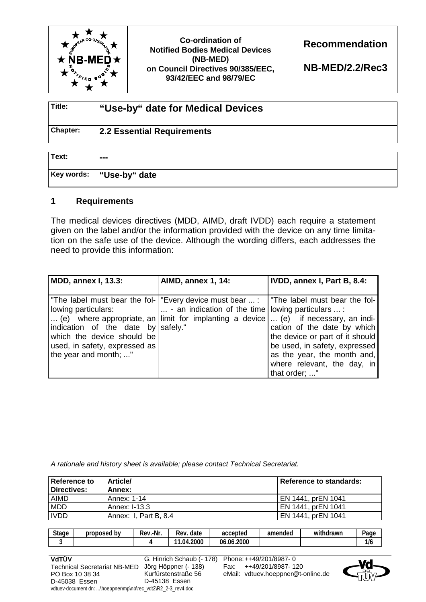

**Co-ordination of Notified Bodies Medical Devices (NB-MED) on Council Directives 90/385/EEC, 93/42/EEC and 98/79/EC** 

**Recommendation** 

**NB-MED/2.2/Rec3** 

| Title:          | "Use-by" date for Medical Devices |  |
|-----------------|-----------------------------------|--|
| <b>Chapter:</b> | 2.2 Essential Requirements        |  |

| Text: | ---                       |
|-------|---------------------------|
|       | Key words:  "Use-by" date |

## **1 Requirements**

The medical devices directives (MDD, AIMD, draft IVDD) each require a statement given on the label and/or the information provided with the device on any time limitation on the safe use of the device. Although the wording differs, each addresses the need to provide this information:

| MDD, annex I, 13.3:                                                                                                                                                                                                                                                                                                                   | <b>AIMD, annex 1, 14:</b>                                            | IVDD, annex I, Part B, 8.4:                                                                                                                                                    |
|---------------------------------------------------------------------------------------------------------------------------------------------------------------------------------------------------------------------------------------------------------------------------------------------------------------------------------------|----------------------------------------------------------------------|--------------------------------------------------------------------------------------------------------------------------------------------------------------------------------|
| The label must bear the fol-   "Every device must bear  :   "The label must bear the fol-<br>lowing particulars:<br>(e) where appropriate, an limit for implanting a device  (e) if necessary, an indi-<br>indication of the date by safely."<br>which the device should be<br>used, in safety, expressed as<br>the year and month; " | $\vert \ldots \vert$ an indication of the time lowing particulars  : | cation of the date by which<br>the device or part of it should<br>be used, in safety, expressed<br>as the year, the month and,<br>where relevant, the day, in<br>that order; " |

*A rationale and history sheet is available; please contact Technical Secretariat.* 

| Reference to<br>Directives: | Article/<br>Annex:    | Reference to standards: |
|-----------------------------|-----------------------|-------------------------|
| AIMD                        | Annex: 1-14           | EN 1441, prEN 1041      |
| <b>MDD</b>                  | Annex: I-13.3         | EN 1441, prEN 1041      |
| <b>IVDD</b>                 | Annex: I. Part B. 8.4 | EN 1441. prEN 1041      |

| <b>Stage</b> | b٧<br>proposed | .-Nr<br>Rev. | -<br>date<br>Rev | accepted           | amended | $\cdots$<br>ndrawr<br>witl | Page<br>. . |
|--------------|----------------|--------------|------------------|--------------------|---------|----------------------------|-------------|
|              |                |              | 4.2000<br>.04.   | .2000<br>በለ<br>IJb |         |                            | .<br>1/6    |

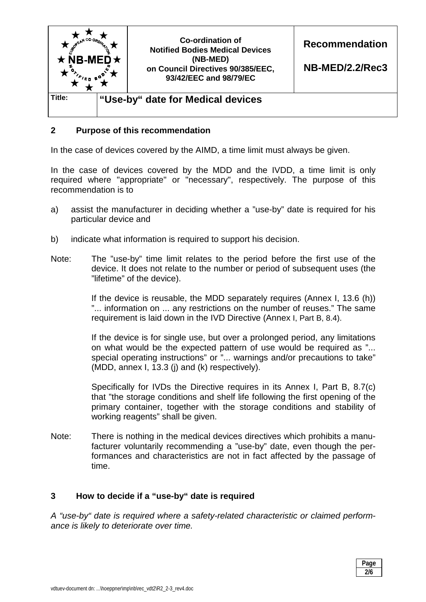

## **2 Purpose of this recommendation**

In the case of devices covered by the AIMD, a time limit must always be given.

In the case of devices covered by the MDD and the IVDD, a time limit is only required where "appropriate" or "necessary", respectively. The purpose of this recommendation is to

- a) assist the manufacturer in deciding whether a "use-by" date is required for his particular device and
- b) indicate what information is required to support his decision.
- Note: The "use-by" time limit relates to the period before the first use of the device. It does not relate to the number or period of subsequent uses (the "lifetime" of the device).

 If the device is reusable, the MDD separately requires (Annex I, 13.6 (h)) "... information on ... any restrictions on the number of reuses." The same requirement is laid down in the IVD Directive (Annex I, Part B, 8.4).

 If the device is for single use, but over a prolonged period, any limitations on what would be the expected pattern of use would be required as "... special operating instructions" or "... warnings and/or precautions to take" (MDD, annex I, 13.3 (j) and (k) respectively).

 Specifically for IVDs the Directive requires in its Annex I, Part B, 8.7(c) that "the storage conditions and shelf life following the first opening of the primary container, together with the storage conditions and stability of working reagents" shall be given.

Note: There is nothing in the medical devices directives which prohibits a manufacturer voluntarily recommending a "use-by" date, even though the performances and characteristics are not in fact affected by the passage of time.

### **3 How to decide if a "use-by" date is required**

*A "use-by" date is required where a safety-related characteristic or claimed performance is likely to deteriorate over time.* 

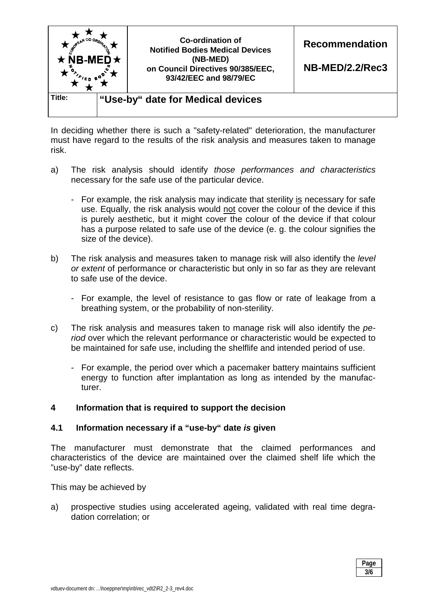

In deciding whether there is such a "safety-related" deterioration, the manufacturer must have regard to the results of the risk analysis and measures taken to manage risk.

- a) The risk analysis should identify *those performances and characteristics* necessary for the safe use of the particular device.
	- For example, the risk analysis may indicate that sterility is necessary for safe use. Equally, the risk analysis would not cover the colour of the device if this is purely aesthetic, but it might cover the colour of the device if that colour has a purpose related to safe use of the device (e. g. the colour signifies the size of the device).
- b) The risk analysis and measures taken to manage risk will also identify the *level or extent* of performance or characteristic but only in so far as they are relevant to safe use of the device.
	- For example, the level of resistance to gas flow or rate of leakage from a breathing system, or the probability of non-sterility.
- c) The risk analysis and measures taken to manage risk will also identify the *period* over which the relevant performance or characteristic would be expected to be maintained for safe use, including the shelflife and intended period of use.
	- For example, the period over which a pacemaker battery maintains sufficient energy to function after implantation as long as intended by the manufacturer.

### **4 Information that is required to support the decision**

### **4.1 Information necessary if a "use-by" date** *is* **given**

The manufacturer must demonstrate that the claimed performances and characteristics of the device are maintained over the claimed shelf life which the "use-by" date reflects.

This may be achieved by

a) prospective studies using accelerated ageing, validated with real time degradation correlation; or

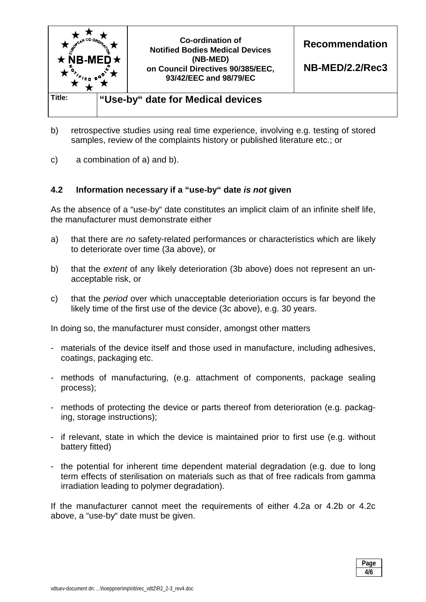

- b) retrospective studies using real time experience, involving e.g. testing of stored samples, review of the complaints history or published literature etc.; or
- c) a combination of a) and b).

## **4.2 Information necessary if a "use-by" date** *is not* **given**

As the absence of a "use-by" date constitutes an implicit claim of an infinite shelf life, the manufacturer must demonstrate either

- a) that there are *no* safety-related performances or characteristics which are likely to deteriorate over time (3a above), or
- b) that the *extent* of any likely deterioration (3b above) does not represent an unacceptable risk, or
- c) that the *period* over which unacceptable deterioriation occurs is far beyond the likely time of the first use of the device (3c above), e.g. 30 years.

In doing so, the manufacturer must consider, amongst other matters

- materials of the device itself and those used in manufacture, including adhesives, coatings, packaging etc.
- methods of manufacturing, (e.g. attachment of components, package sealing process);
- methods of protecting the device or parts thereof from deterioration (e.g. packaging, storage instructions);
- if relevant, state in which the device is maintained prior to first use (e.g. without battery fitted)
- the potential for inherent time dependent material degradation (e.g. due to long term effects of sterilisation on materials such as that of free radicals from gamma irradiation leading to polymer degradation).

If the manufacturer cannot meet the requirements of either 4.2a or 4.2b or 4.2c above, a "use-by" date must be given.

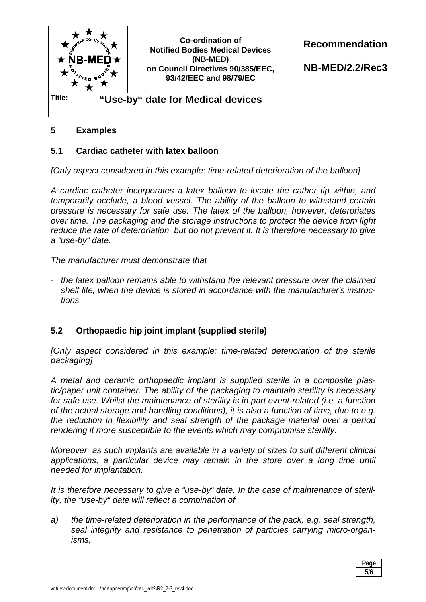

# **5 Examples**

### **5.1 Cardiac catheter with latex balloon**

*[Only aspect considered in this example: time-related deterioration of the balloon]* 

*A cardiac catheter incorporates a latex balloon to locate the cather tip within, and temporarily occlude, a blood vessel. The ability of the balloon to withstand certain pressure is necessary for safe use. The latex of the balloon, however, deteroriates over time. The packaging and the storage instructions to protect the device from light reduce the rate of deteroriation, but do not prevent it. It is therefore necessary to give a "use-by" date.* 

*The manufacturer must demonstrate that* 

*- the latex balloon remains able to withstand the relevant pressure over the claimed shelf life, when the device is stored in accordance with the manufacturer's instructions.*

### **5.2 Orthopaedic hip joint implant (supplied sterile)**

*[Only aspect considered in this example: time-related deterioration of the sterile packaging]* 

*A metal and ceramic orthopaedic implant is supplied sterile in a composite plastic/paper unit container. The ability of the packaging to maintain sterility is necessary for safe use. Whilst the maintenance of sterility is in part event-related (i.e. a function of the actual storage and handling conditions), it is also a function of time, due to e.g. the reduction in flexibility and seal strength of the package material over a period rendering it more susceptible to the events which may compromise sterility.* 

*Moreover, as such implants are available in a variety of sizes to suit different clinical*  applications, a particular device may remain in the store over a long time until *needed for implantation.*

*It is therefore necessary to give a "use-by" date. In the case of maintenance of sterility, the "use-by" date will reflect a combination of* 

*a) the time-related deterioration in the performance of the pack, e.g. seal strength, seal integrity and resistance to penetration of particles carrying micro-organisms,* 

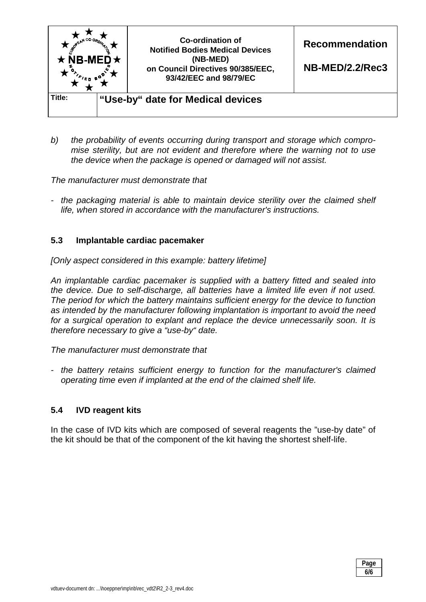

*b) the probability of events occurring during transport and storage which compromise sterility, but are not evident and therefore where the warning not to use the device when the package is opened or damaged will not assist.* 

*The manufacturer must demonstrate that* 

*- the packaging material is able to maintain device sterility over the claimed shelf life, when stored in accordance with the manufacturer's instructions.*

### **5.3 Implantable cardiac pacemaker**

*[Only aspect considered in this example: battery lifetime]* 

*An implantable cardiac pacemaker is supplied with a battery fitted and sealed into the device. Due to self-discharge, all batteries have a limited life even if not used. The period for which the battery maintains sufficient energy for the device to function as intended by the manufacturer following implantation is important to avoid the need for a surgical operation to explant and replace the device unnecessarily soon. It is therefore necessary to give a "use-by" date.* 

*The manufacturer must demonstrate that* 

*- the battery retains sufficient energy to function for the manufacturer's claimed operating time even if implanted at the end of the claimed shelf life.* 

### **5.4 IVD reagent kits**

In the case of IVD kits which are composed of several reagents the "use-by date" of the kit should be that of the component of the kit having the shortest shelf-life.

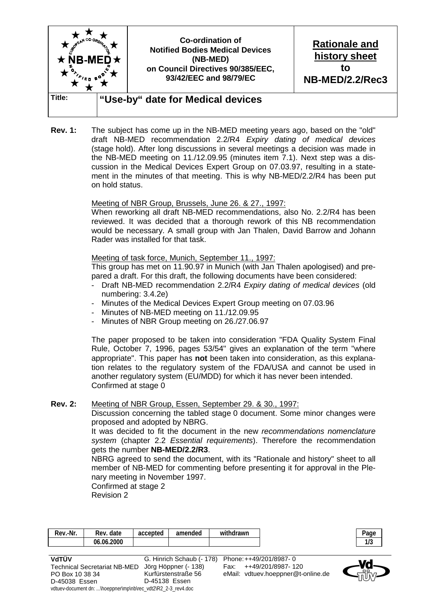

**Rev. 1:** The subject has come up in the NB-MED meeting years ago, based on the "old" draft NB-MED recommendation 2.2/R4 *Expiry dating of medical devices* (stage hold). After long discussions in several meetings a decision was made in the NB-MED meeting on 11./12.09.95 (minutes item 7.1). Next step was a discussion in the Medical Devices Expert Group on 07.03.97, resulting in a statement in the minutes of that meeting. This is why NB-MED/2.2/R4 has been put on hold status.

#### Meeting of NBR Group, Brussels, June 26. & 27., 1997:

 When reworking all draft NB-MED recommendations, also No. 2.2/R4 has been reviewed. It was decided that a thorough rework of this NB recommendation would be necessary. A small group with Jan Thalen, David Barrow and Johann Rader was installed for that task.

#### Meeting of task force, Munich, September 11., 1997:

 This group has met on 11.90.97 in Munich (with Jan Thalen apologised) and prepared a draft. For this draft, the following documents have been considered:

- Draft NB-MED recommendation 2.2/R4 *Expiry dating of medical devices* (old numbering: 3.4.2e)
- Minutes of the Medical Devices Expert Group meeting on 07.03.96
- Minutes of NB-MED meeting on 11./12.09.95
- Minutes of NBR Group meeting on 26./27.06.97

 The paper proposed to be taken into consideration "FDA Quality System Final Rule, October 7, 1996, pages 53/54" gives an explanation of the term "where appropriate". This paper has **not** been taken into consideration, as this explanation relates to the regulatory system of the FDA/USA and cannot be used in another regulatory system (EU/MDD) for which it has never been intended. Confirmed at stage 0

#### **Rev. 2:** Meeting of NBR Group, Essen, September 29. & 30., 1997:

 Discussion concerning the tabled stage 0 document. Some minor changes were proposed and adopted by NBRG.

 It was decided to fit the document in the new *recommendations nomenclature system* (chapter 2.2 *Essential requirements*). Therefore the recommendation gets the number **NB-MED/2.2/R3**.

 NBRG agreed to send the document, with its "Rationale and history" sheet to all member of NB-MED for commenting before presenting it for approval in the Plenary meeting in November 1997.

 Confirmed at stage 2 Revision 2

| Rev.-Nr.     | Rev. date  | accepted | amended | withdrawn                       | Page       |  |
|--------------|------------|----------|---------|---------------------------------|------------|--|
|              | 06.06.2000 |          |         |                                 | 10<br>11 J |  |
|              |            |          |         |                                 |            |  |
| . <i>. .</i> |            |          |         | 0.11.101 1.470 01 0.001 0.007 0 |            |  |

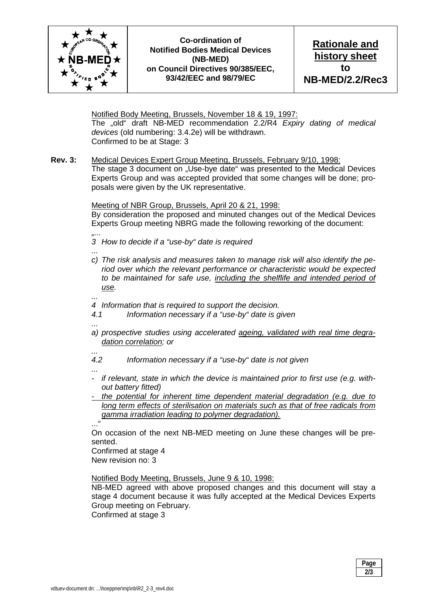

**Co-ordination of Notified Bodies Medical Devices (NB-MED) on Council Directives 90/385/EEC, 93/42/EEC and 98/79/EC** 

**Rationale and history sheet to NB-MED/2.2/Rec3** 

 Notified Body Meeting, Brussels, November 18 & 19, 1997: The "old" draft NB-MED recommendation 2.2/R4 *Expiry dating of medical devices* (old numbering: 3.4.2e) will be withdrawn. Confirmed to be at Stage: 3

**Rev. 3:** Medical Devices Expert Group Meeting, Brussels, February 9/10, 1998: The stage 3 document on "Use-bye date" was presented to the Medical Devices Experts Group and was accepted provided that some changes will be done; proposals were given by the UK representative.

Meeting of NBR Group, Brussels, April 20 & 21, 1998:

 By consideration the proposed and minuted changes out of the Medical Devices Experts Group meeting NBRG made the following reworking of the document:

- ... *3 How to decide if a "use-by" date is required*
- *...*
- *c) The risk analysis and measures taken to manage risk will also identify the period over which the relevant performance or characteristic would be expected to be maintained for safe use, including the shelflife and intended period of use.*
- *... 4 Information that is required to support the decision.*
- *4.1 Information necessary if a "use-by" date is given*
- *...*
- *a) prospective studies using accelerated ageing, validated with real time degradation correlation; or*
- *... 4.2 Information necessary if a "use-by" date is not given*
- *...*
- *if relevant, state in which the device is maintained prior to first use (e.g. without battery fitted)*
- *the potential for inherent time dependent material degradation (e.g. due to long term effects of sterilisation on materials such as that of free radicals from gamma irradiation leading to polymer degradation).*

..."

On occasion of the next NB-MED meeting on June these changes will be presented.

 Confirmed at stage 4 New revision no: 3

Notified Body Meeting, Brussels, June 9 & 10, 1998:

 NB-MED agreed with above proposed changes and this document will stay a stage 4 document because it was fully accepted at the Medical Devices Experts Group meeting on February.

Confirmed at stage 3